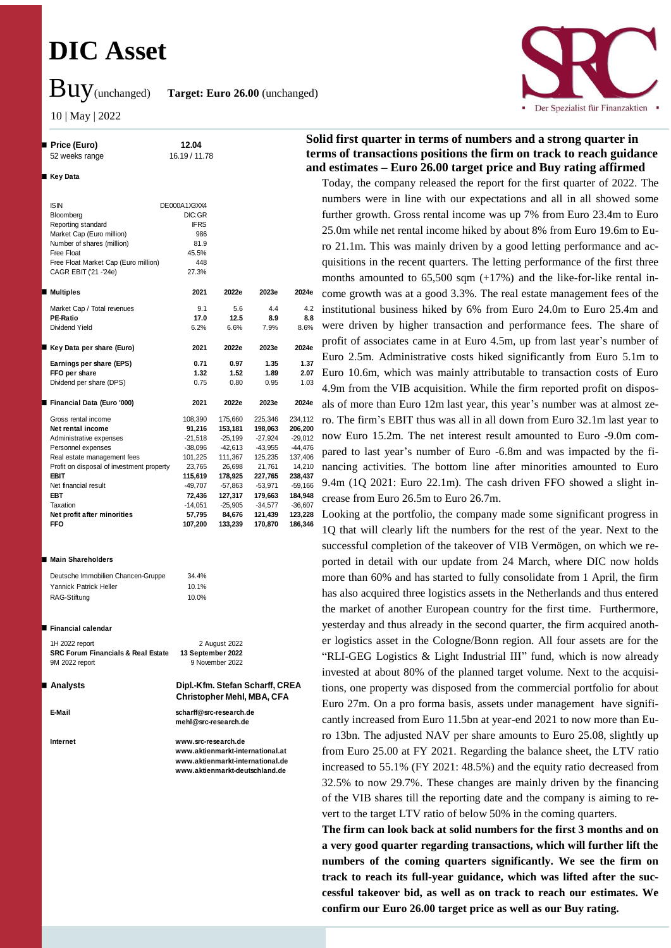# **DIC Asset**

 **Price (Euro) 12.04** 52 weeks range 16.19 / 11.78

Buy(unchanged) **Target: Euro 26.00** (unchanged)

10 | May | 2022

**Key Data**



## **Solid first quarter in terms of numbers and a strong quarter in terms of transactions positions the firm on track to reach guidance and estimates – Euro 26.00 target price and Buy rating affirmed**

Today, the company released the report for the first quarter of 2022. The numbers were in line with our expectations and all in all showed some further growth. Gross rental income was up 7% from Euro 23.4m to Euro 25.0m while net rental income hiked by about 8% from Euro 19.6m to Euro 21.1m. This was mainly driven by a good letting performance and acquisitions in the recent quarters. The letting performance of the first three months amounted to 65,500 sqm (+17%) and the like-for-like rental income growth was at a good 3.3%. The real estate management fees of the institutional business hiked by 6% from Euro 24.0m to Euro 25.4m and were driven by higher transaction and performance fees. The share of profit of associates came in at Euro 4.5m, up from last year's number of Euro 2.5m. Administrative costs hiked significantly from Euro 5.1m to Euro 10.6m, which was mainly attributable to transaction costs of Euro 4.9m from the VIB acquisition. While the firm reported profit on disposals of more than Euro 12m last year, this year's number was at almost zero. The firm's EBIT thus was all in all down from Euro 32.1m last year to now Euro 15.2m. The net interest result amounted to Euro -9.0m compared to last year's number of Euro -6.8m and was impacted by the financing activities. The bottom line after minorities amounted to Euro 9.4m (1Q 2021: Euro 22.1m). The cash driven FFO showed a slight increase from Euro 26.5m to Euro 26.7m.

Looking at the portfolio, the company made some significant progress in 1Q that will clearly lift the numbers for the rest of the year. Next to the successful completion of the takeover of VIB Vermögen, on which we reported in detail with our update from 24 March, where DIC now holds more than 60% and has started to fully consolidate from 1 April, the firm has also acquired three logistics assets in the Netherlands and thus entered the market of another European country for the first time. Furthermore, yesterday and thus already in the second quarter, the firm acquired another logistics asset in the Cologne/Bonn region. All four assets are for the "RLI-GEG Logistics & Light Industrial III" fund, which is now already invested at about 80% of the planned target volume. Next to the acquisitions, one property was disposed from the commercial portfolio for about Euro 27m. On a pro forma basis, assets under management have significantly increased from Euro 11.5bn at year-end 2021 to now more than Euro 13bn. The adjusted NAV per share amounts to Euro 25.08, slightly up from Euro 25.00 at FY 2021. Regarding the balance sheet, the LTV ratio increased to 55.1% (FY 2021: 48.5%) and the equity ratio decreased from 32.5% to now 29.7%. These changes are mainly driven by the financing of the VIB shares till the reporting date and the company is aiming to revert to the target LTV ratio of below 50% in the coming quarters.

**The firm can look back at solid numbers for the first 3 months and on a very good quarter regarding transactions, which will further lift the numbers of the coming quarters significantly. We see the firm on track to reach its full-year guidance, which was lifted after the successful takeover bid, as well as on track to reach our estimates. We confirm our Euro 26.00 target price as well as our Buy rating.**

| <b>ISIN</b>                               | DE000A1X3XX4 |           |           |           |
|-------------------------------------------|--------------|-----------|-----------|-----------|
| Bloomberg                                 | DIC:GR       |           |           |           |
| Reporting standard                        | <b>IFRS</b>  |           |           |           |
| Market Cap (Euro million)                 | 986          |           |           |           |
| Number of shares (million)                | 81.9         |           |           |           |
| Free Float                                | 45.5%        |           |           |           |
| Free Float Market Cap (Euro million)      | 448          |           |           |           |
| CAGR EBIT ('21 -'24e)                     | 27.3%        |           |           |           |
| <b>Multiples</b>                          | 2021         | 2022e     | 2023e     | 2024e     |
| Market Cap / Total revenues               | 9.1          | 5.6       | 44        | 4.2       |
| <b>PE-Ratio</b>                           | 17.0         | 12.5      | 8.9       | 8.8       |
| Dividend Yield                            | 6.2%         | 6.6%      | 7.9%      | 8.6%      |
| Key Data per share (Euro)                 | 2021         | 2022e     | 2023e     | 2024e     |
| Earnings per share (EPS)                  | 0.71         | 0.97      | 1.35      | 1.37      |
| FFO per share                             | 1.32         | 1.52      | 1.89      | 2.07      |
| Dividend per share (DPS)                  | 0.75         | 0.80      | 0.95      | 1.03      |
| Financial Data (Euro '000)                | 2021         | 2022e     | 2023e     | 2024e     |
| Gross rental income                       | 108,390      | 175,660   | 225,346   | 234,112   |
| Net rental income                         | 91,216       | 153,181   | 198,063   | 206,200   |
| Administrative expenses                   | $-21,518$    | $-25.199$ | $-27,924$ | $-29,012$ |
| Personnel expenses                        | $-38,096$    | $-42,613$ | $-43,955$ | $-44,476$ |
| Real estate management fees               | 101,225      | 111,367   | 125,235   | 137,406   |
| Profit on disposal of investment property | 23,765       | 26,698    | 21,761    | 14,210    |
| <b>FBIT</b>                               | 115,619      | 178,925   | 227,765   | 238,437   |
| Net financial result                      | -49,707      | $-57,863$ | $-53,971$ | $-59,166$ |
| <b>FRT</b>                                | 72,436       | 127,317   | 179,663   | 184,948   |
| Taxation                                  | $-14.051$    | $-25.905$ | -34.577   | $-36.607$ |
| Net profit after minorities               | 57,795       | 84.676    | 121,439   | 123,228   |
| <b>FFO</b>                                | 107,200      | 133,239   | 170,870   | 186,346   |
|                                           |              |           |           |           |

## **Main Shareholders**

| Deutsche Immobilien Chancen-Gruppe | 34.4% |
|------------------------------------|-------|
| Yannick Patrick Heller             | 10.1% |
| RAG-Stiftung                       | 10.0% |

#### **■ Financial calendar**

| 1H 2022 report                                | 2 August 2022     |
|-----------------------------------------------|-------------------|
| <b>SRC Forum Financials &amp; Real Estate</b> | 13 September 2022 |
| 9M 2022 report                                | 9 November 2022   |

 **Analysts Dipl.-Kfm. Stefan Scharff, CREA Christopher Mehl, MBA, CFA**

**E-Mail scharff@src-research.de mehl@src-research.de**

**Internet www.src-research.de www.aktienmarkt-international.at www.aktienmarkt-international.de www.aktienmarkt-deutschland.de**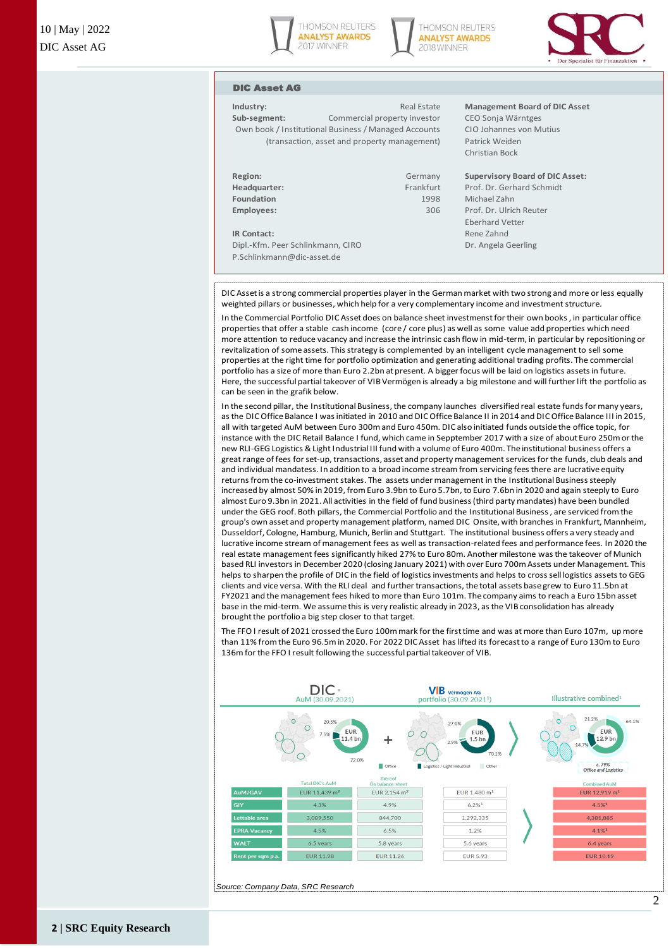





## DIC Asset AG

**Sub-segment:** Commercial property investor CEO Sonja Wärntges Own book / Institutional Business / Managed Accounts CIO Johannes von Mutius (transaction, asset and property management) Patrick Weiden

| Region:<br>Headquarter: |  |  |
|-------------------------|--|--|
| Foundation              |  |  |
| Employees:              |  |  |
|                         |  |  |

P.Schlinkmann@dic-asset.de

**Industry:** Real Estate **Management Board of DIC Asset**

Christian Bock

#### **Region:** Germany **Supervisory Board of DIC Asset:**

Frankfurt Prof. Dr. Gerhard Schmidt **Foundation** 1998 Michael Zahn **Employees:** 306 Prof. Dr. Ulrich Reuter Eberhard Vetter **IR Contact:** Rene Zahnd Dipl.-Kfm. Peer Schlinkmann, CIRO Dr. Angela Geerling

DIC Asset is a strong commercial properties player in the German market with two strong and more or less equally weighted pillars or businesses, which help for a very complementary income and investment structure.

In the Commercial Portfolio DIC Asset does on balance sheet investmenst for their own books , in particular office properties that offer a stable cash income (core / core plus) as well as some value add properties which need more attention to reduce vacancy and increase the intrinsic cash flow in mid-term, in particular by repositioning or revitalization of some assets. This strategy is complemented by an intelligent cycle management to sell some properties at the right time for portfolio optimization and generating additional trading profits. The commercial portfolio has a size of more than Euro 2.2bn at present. A bigger focus will be laid on logistics assets in future. Here, the successful partial takeover of VIB Vermögen is already a big milestone and will further lift the portfolio as can be seen in the grafik below.

In the second pillar, the Institutional Business, the company launches diversified real estate funds for many years, as the DIC Office Balance I was initiated in 2010 and DIC Office Balance II in 2014 and DIC Office Balance III in 2015, all with targeted AuM between Euro 300m and Euro 450m. DIC also initiated funds outside the office topic, for instance with the DIC Retail Balance I fund, which came in Sepptember 2017 with a size of about Euro 250m or the new RLI-GEG Logistics & Light Industrial III fund with a volume of Euro 400m. The institutional business offers a great range of fees for set-up, transactions, asset and property management services for the funds, club deals and and individual mandatess. In addition to a broad income stream from servicing fees there are lucrative equity returns from the co-investment stakes. The assets under management in the Institutional Business steeply increased by almost 50% in 2019, from Euro 3.9bn to Euro 5.7bn, to Euro 7.6bn in 2020 and again steeply to Euro almost Euro 9.3bn in 2021. All activities in the field of fund business (third party mandates) have been bundled under the GEG roof. Both pillars, the Commercial Portfolio and the Institutional Business , are serviced from the group's own asset and property management platform, named DIC Onsite, with branches in Frankfurt, Mannheim, Dusseldorf, Cologne, Hamburg, Munich, Berlin and Stuttgart. The institutional business offers a very steady and lucrative income stream of management fees as well as transaction-related fees and performance fees. In 2020 the real estate management fees significantly hiked 27% to Euro 80m. Another milestone was the takeover of Munich based RLI investors in December 2020 (closing January 2021) with over Euro 700m Assets under Management. This helps to sharpen the profile of DIC in the field of logistics investments and helps to cross sell logistics assets to GEG clients and vice versa. With the RLI deal and further transactions, the total assets base grew to Euro 11.5bn at FY2021 and the management fees hiked to more than Euro 101m. The company aims to reach a Euro 15bn asset base in the mid-term. We assume this is very realistic already in 2023, as the VIB consolidation has already brought the portfolio a big step closer to that target.

The FFO I result of 2021 crossed the Euro 100m mark for the first time and was at more than Euro 107m, up more than 11% from the Euro 96.5m in 2020. For 2022 DIC Asset has lifted its forecast to a range of Euro 130m to Euro 136m for the FFO I result following the successful partial takeover of VIB.

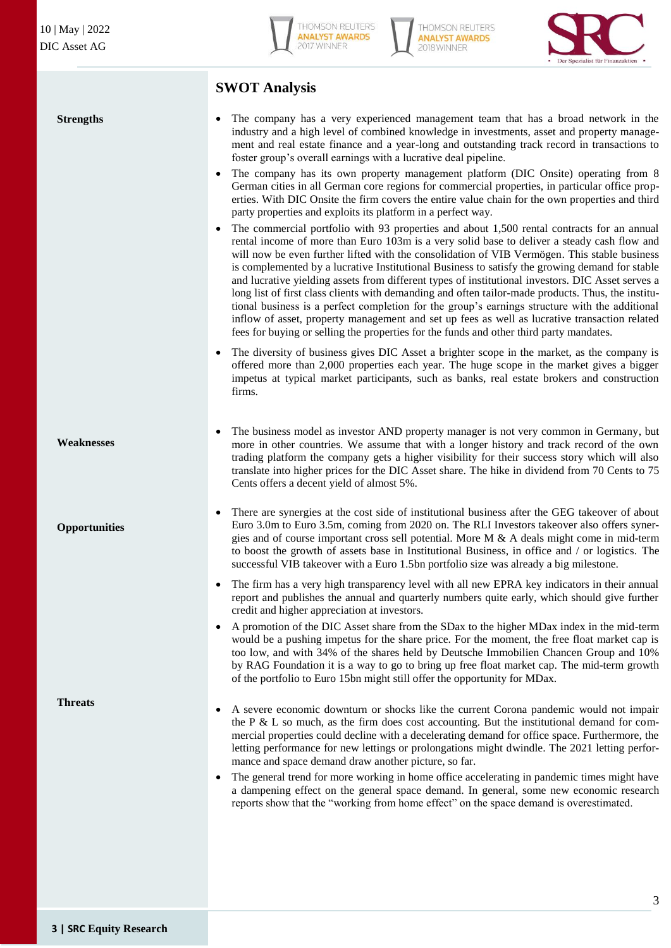**Strengths**



**THOMSON REUTERS ANALYST AWARDS** 2018 WINNER



## **SWOT Analysis**

- The company has a very experienced management team that has a broad network in the industry and a high level of combined knowledge in investments, asset and property management and real estate finance and a year-long and outstanding track record in transactions to foster group's overall earnings with a lucrative deal pipeline.
- The company has its own property management platform (DIC Onsite) operating from 8 German cities in all German core regions for commercial properties, in particular office properties. With DIC Onsite the firm covers the entire value chain for the own properties and third party properties and exploits its platform in a perfect way.
- The commercial portfolio with 93 properties and about 1,500 rental contracts for an annual rental income of more than Euro 103m is a very solid base to deliver a steady cash flow and will now be even further lifted with the consolidation of VIB Vermögen. This stable business is complemented by a lucrative Institutional Business to satisfy the growing demand for stable and lucrative yielding assets from different types of institutional investors. DIC Asset serves a long list of first class clients with demanding and often tailor-made products. Thus, the institutional business is a perfect completion for the group's earnings structure with the additional inflow of asset, property management and set up fees as well as lucrative transaction related fees for buying or selling the properties for the funds and other third party mandates.
- The diversity of business gives DIC Asset a brighter scope in the market, as the company is offered more than 2,000 properties each year. The huge scope in the market gives a bigger impetus at typical market participants, such as banks, real estate brokers and construction firms.

- **Weaknesses**
- **Opportunities**

**Threats**

- The business model as investor AND property manager is not very common in Germany, but more in other countries. We assume that with a longer history and track record of the own trading platform the company gets a higher visibility for their success story which will also translate into higher prices for the DIC Asset share. The hike in dividend from 70 Cents to 75 Cents offers a decent yield of almost 5%.
	- There are synergies at the cost side of institutional business after the GEG takeover of about Euro 3.0m to Euro 3.5m, coming from 2020 on. The RLI Investors takeover also offers synergies and of course important cross sell potential. More  $M \& A$  deals might come in mid-term to boost the growth of assets base in Institutional Business, in office and / or logistics. The successful VIB takeover with a Euro 1.5bn portfolio size was already a big milestone.
- The firm has a very high transparency level with all new EPRA key indicators in their annual report and publishes the annual and quarterly numbers quite early, which should give further credit and higher appreciation at investors.
- A promotion of the DIC Asset share from the SDax to the higher MDax index in the mid-term would be a pushing impetus for the share price. For the moment, the free float market cap is too low, and with 34% of the shares held by Deutsche Immobilien Chancen Group and 10% by RAG Foundation it is a way to go to bring up free float market cap. The mid-term growth of the portfolio to Euro 15bn might still offer the opportunity for MDax.
- A severe economic downturn or shocks like the current Corona pandemic would not impair the P  $\&$  L so much, as the firm does cost accounting. But the institutional demand for commercial properties could decline with a decelerating demand for office space. Furthermore, the letting performance for new lettings or prolongations might dwindle. The 2021 letting performance and space demand draw another picture, so far.
- The general trend for more working in home office accelerating in pandemic times might have a dampening effect on the general space demand. In general, some new economic research reports show that the "working from home effect" on the space demand is overestimated.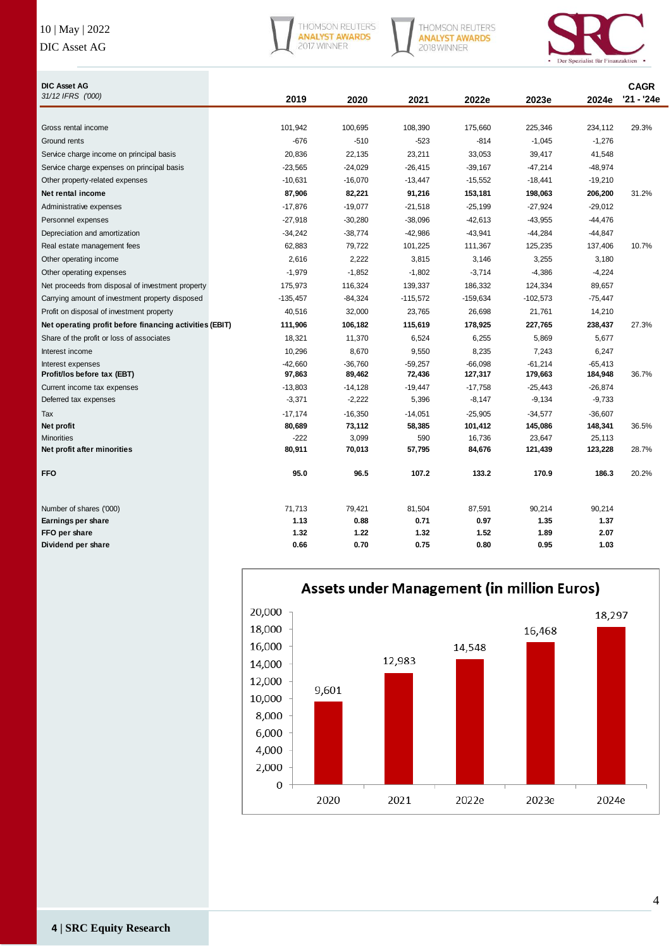## 10 | May | 2022

## DIC Asset AG



THOMSON REUTERS<br>**ANALYST AWARDS**<br>2018 WINNER



| <b>DIC Asset AG</b>                                     |            |           |            |            |            |           | <b>CAGR</b> |
|---------------------------------------------------------|------------|-----------|------------|------------|------------|-----------|-------------|
| 31/12 IFRS ('000)                                       | 2019       | 2020      | 2021       | 2022e      | 2023e      | 2024e     | '21 - '24e  |
|                                                         |            |           |            |            |            |           |             |
| Gross rental income                                     | 101,942    | 100,695   | 108,390    | 175,660    | 225,346    | 234,112   | 29.3%       |
| Ground rents                                            | $-676$     | $-510$    | $-523$     | $-814$     | $-1,045$   | $-1,276$  |             |
| Service charge income on principal basis                | 20,836     | 22,135    | 23,211     | 33,053     | 39,417     | 41,548    |             |
| Service charge expenses on principal basis              | $-23,565$  | $-24,029$ | $-26,415$  | $-39,167$  | $-47,214$  | $-48,974$ |             |
| Other property-related expenses                         | $-10,631$  | $-16,070$ | $-13,447$  | $-15,552$  | $-18,441$  | $-19,210$ |             |
| Net rental income                                       | 87,906     | 82,221    | 91,216     | 153,181    | 198,063    | 206,200   | 31.2%       |
| Administrative expenses                                 | $-17,876$  | $-19,077$ | $-21,518$  | $-25,199$  | $-27,924$  | $-29,012$ |             |
| Personnel expenses                                      | $-27,918$  | $-30,280$ | $-38,096$  | $-42,613$  | $-43,955$  | -44,476   |             |
| Depreciation and amortization                           | $-34,242$  | $-38,774$ | $-42,986$  | $-43,941$  | $-44,284$  | -44,847   |             |
| Real estate management fees                             | 62,883     | 79,722    | 101,225    | 111,367    | 125,235    | 137,406   | 10.7%       |
| Other operating income                                  | 2,616      | 2,222     | 3,815      | 3,146      | 3,255      | 3,180     |             |
| Other operating expenses                                | $-1,979$   | $-1,852$  | $-1,802$   | $-3,714$   | $-4,386$   | $-4,224$  |             |
| Net proceeds from disposal of investment property       | 175,973    | 116,324   | 139,337    | 186,332    | 124,334    | 89,657    |             |
| Carrying amount of investment property disposed         | $-135,457$ | $-84,324$ | $-115,572$ | $-159,634$ | $-102,573$ | $-75,447$ |             |
| Profit on disposal of investment property               | 40,516     | 32,000    | 23,765     | 26,698     | 21,761     | 14,210    |             |
| Net operating profit before financing activities (EBIT) | 111,906    | 106,182   | 115,619    | 178,925    | 227,765    | 238,437   | 27.3%       |
| Share of the profit or loss of associates               | 18,321     | 11,370    | 6,524      | 6,255      | 5,869      | 5,677     |             |
| Interest income                                         | 10,296     | 8,670     | 9,550      | 8,235      | 7,243      | 6,247     |             |
| Interest expenses                                       | $-42,660$  | $-36,760$ | $-59,257$  | $-66,098$  | $-61,214$  | $-65,413$ |             |
| Profit/los before tax (EBT)                             | 97,863     | 89,462    | 72,436     | 127,317    | 179,663    | 184,948   | 36.7%       |
| Current income tax expenses                             | $-13,803$  | $-14,128$ | $-19,447$  | $-17,758$  | $-25,443$  | $-26,874$ |             |
| Deferred tax expenses                                   | $-3,371$   | $-2,222$  | 5,396      | $-8,147$   | $-9,134$   | $-9,733$  |             |
| Tax                                                     | $-17,174$  | $-16,350$ | $-14,051$  | $-25,905$  | $-34,577$  | $-36,607$ |             |
| Net profit                                              | 80,689     | 73,112    | 58,385     | 101,412    | 145,086    | 148,341   | 36.5%       |
| <b>Minorities</b>                                       | $-222$     | 3,099     | 590        | 16,736     | 23,647     | 25,113    |             |
| Net profit after minorities                             | 80,911     | 70,013    | 57,795     | 84,676     | 121,439    | 123,228   | 28.7%       |
| <b>FFO</b>                                              | 95.0       | 96.5      | 107.2      | 133.2      | 170.9      | 186.3     | 20.2%       |
|                                                         |            |           |            |            |            |           |             |
| Number of shares ('000)                                 | 71,713     | 79,421    | 81,504     | 87,591     | 90,214     | 90,214    |             |
| Earnings per share                                      | 1.13       | 0.88      | 0.71       | 0.97       | 1.35       | 1.37      |             |
| FFO per share                                           | 1.32       | 1.22      | 1.32       | 1.52       | 1.89       | 2.07      |             |
| Dividend per share                                      | 0.66       | 0.70      | 0.75       | 0.80       | 0.95       | 1.03      |             |



## Assets under Management (in million Euros)

**4 | SRC Equity Research**

4